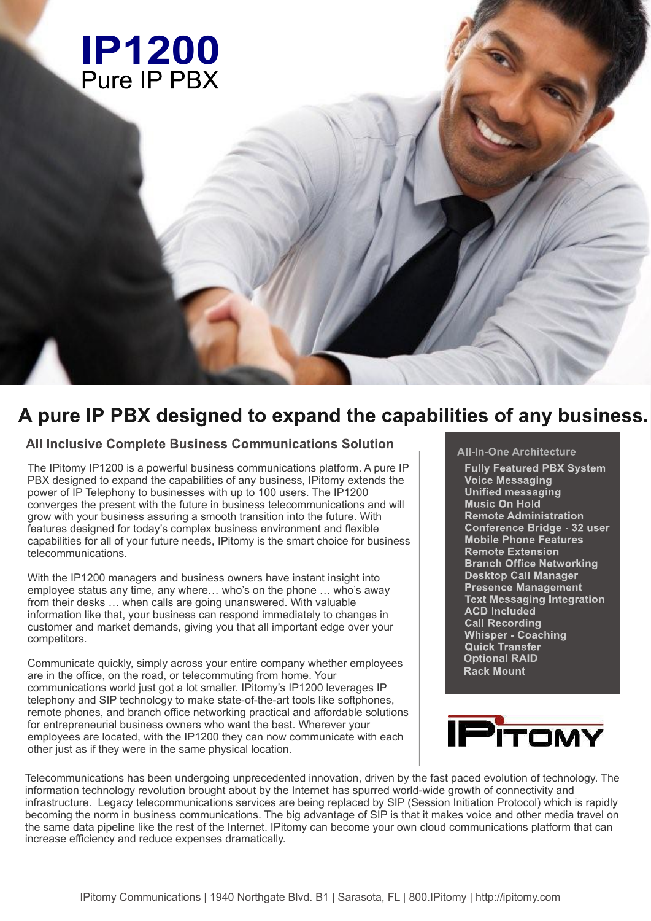

# A pure IP PBX designed to expand the capabilities of any business.

### **All Inclusive Complete Business Communications Solution**

The IPitomy IP1200 is a powerful business communications platform. A pure IP PBX designed to expand the capabilities of any business, IPitomy extends the power of IP Telephony to businesses with up to 100 users. The IP1200 converges the present with the future in business telecommunications and will grow with your business assuring a smooth transition into the future. With features designed for today's complex business environment and flexible capabilities for all of your future needs, IPitomy is the smart choice for business telecommunications.

With the IP1200 managers and business owners have instant insight into employee status any time, any where… who's on the phone … who's away from their desks … when calls are going unanswered. With valuable information like that, your business can respond immediately to changes in customer and market demands, giving you that all important edge over your competitors.

Communicate quickly, simply across your entire company whether employees are in the office, on the road, or telecommuting from home. Your communications world just got a lot smaller. IPitomy's IP1200 leverages IP telephony and SIP technology to make state-of-the-art tools like softphones, remote phones, and branch office networking practical and affordable solutions for entrepreneurial business owners who want the best. Wherever your employees are located, with the IP1200 they can now communicate with each other just as if they were in the same physical location.

### **All-In-One Architecture**

**Fully Featured PBX System Voice Messaging Unified messaging Music On Hold Remote Administration Conference Bridge - 32 user Mobile Phone Features** Remote Extension **Branch Office Networking Desktop Call Manager Presence Management Text Messaging Integration ACD Included Call Recording Whisper - Coaching Quick Transfer Optional RAID**



Telecommunications has been undergoing unprecedented innovation, driven by the fast paced evolution of technology. The information technology revolution brought about by the Internet has spurred world-wide growth of connectivity and infrastructure. Legacy telecommunications services are being replaced by SIP (Session Initiation Protocol) which is rapidly becoming the norm in business communications. The big advantage of SIP is that it makes voice and other media travel on the same data pipeline like the rest of the Internet. IPitomy can become your own cloud communications platform that can increase efficiency and reduce expenses dramatically.